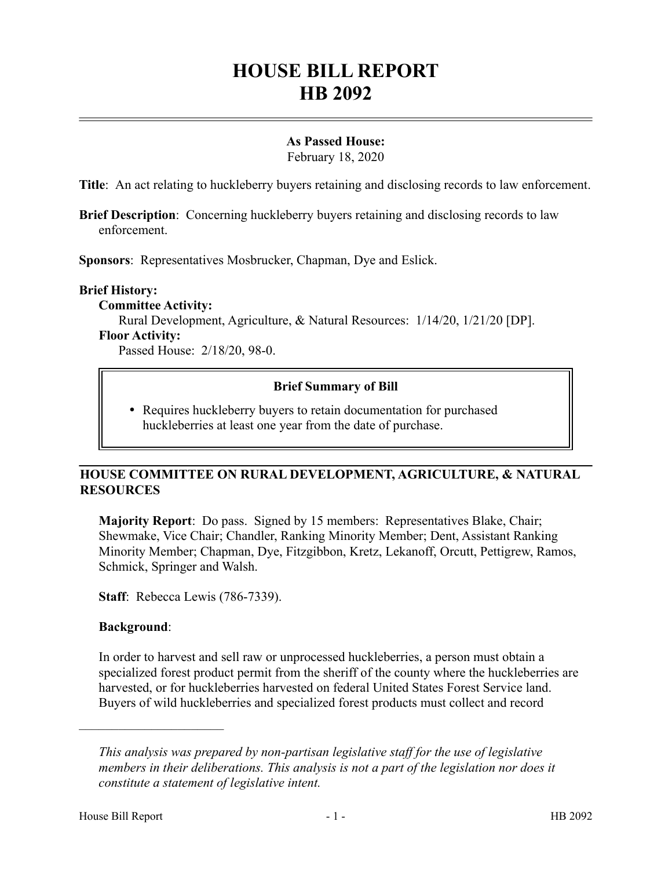# **HOUSE BILL REPORT HB 2092**

## **As Passed House:**

February 18, 2020

**Title**: An act relating to huckleberry buyers retaining and disclosing records to law enforcement.

**Brief Description**: Concerning huckleberry buyers retaining and disclosing records to law enforcement.

**Sponsors**: Representatives Mosbrucker, Chapman, Dye and Eslick.

### **Brief History:**

**Committee Activity:** Rural Development, Agriculture, & Natural Resources: 1/14/20, 1/21/20 [DP]. **Floor Activity:** Passed House: 2/18/20, 98-0.

## **Brief Summary of Bill**

 Requires huckleberry buyers to retain documentation for purchased huckleberries at least one year from the date of purchase.

## **HOUSE COMMITTEE ON RURAL DEVELOPMENT, AGRICULTURE, & NATURAL RESOURCES**

**Majority Report**: Do pass. Signed by 15 members: Representatives Blake, Chair; Shewmake, Vice Chair; Chandler, Ranking Minority Member; Dent, Assistant Ranking Minority Member; Chapman, Dye, Fitzgibbon, Kretz, Lekanoff, Orcutt, Pettigrew, Ramos, Schmick, Springer and Walsh.

**Staff**: Rebecca Lewis (786-7339).

#### **Background**:

––––––––––––––––––––––

In order to harvest and sell raw or unprocessed huckleberries, a person must obtain a specialized forest product permit from the sheriff of the county where the huckleberries are harvested, or for huckleberries harvested on federal United States Forest Service land. Buyers of wild huckleberries and specialized forest products must collect and record

*This analysis was prepared by non-partisan legislative staff for the use of legislative members in their deliberations. This analysis is not a part of the legislation nor does it constitute a statement of legislative intent.*